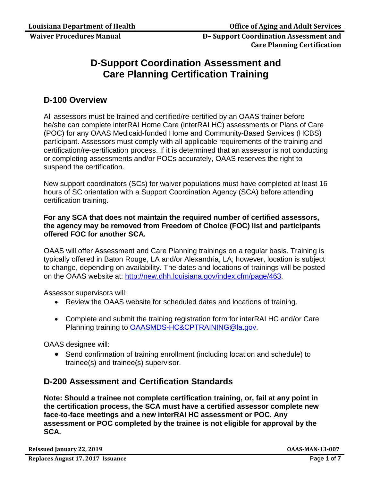# **D-Support Coordination Assessment and Care Planning Certification Training**

## **D-100 Overview**

All assessors must be trained and certified/re-certified by an OAAS trainer before he/she can complete interRAI Home Care (interRAI HC) assessments or Plans of Care (POC) for any OAAS Medicaid-funded Home and Community-Based Services (HCBS) participant. Assessors must comply with all applicable requirements of the training and certification/re-certification process. If it is determined that an assessor is not conducting or completing assessments and/or POCs accurately, OAAS reserves the right to suspend the certification.

New support coordinators (SCs) for waiver populations must have completed at least 16 hours of SC orientation with a Support Coordination Agency (SCA) before attending certification training.

### **For any SCA that does not maintain the required number of certified assessors, the agency may be removed from Freedom of Choice (FOC) list and participants offered FOC for another SCA.**

OAAS will offer Assessment and Care Planning trainings on a regular basis. Training is typically offered in Baton Rouge, LA and/or Alexandria, LA; however, location is subject to change, depending on availability. The dates and locations of trainings will be posted on the OAAS website at: [http://new.dhh.louisiana.gov/index.cfm/page/463.](http://new.dhh.louisiana.gov/index.cfm/page/463)

Assessor supervisors will:

- Review the OAAS website for scheduled dates and locations of training.
- Complete and submit the training registration form for interRAI HC and/or Care Planning training to [OAASMDS-HC&CPTRAINING@la.gov.](mailto:OAASMDS-HC&CPTRAINING@la.gov)

OAAS designee will:

• Send confirmation of training enrollment (including location and schedule) to trainee(s) and trainee(s) supervisor.

## **D-200 Assessment and Certification Standards**

**Note: Should a trainee not complete certification training, or, fail at any point in the certification process, the SCA must have a certified assessor complete new face-to-face meetings and a new interRAI HC assessment or POC. Any assessment or POC completed by the trainee is not eligible for approval by the SCA.** 

**Reissued January 22, 2019 OAAS-MAN-13-007**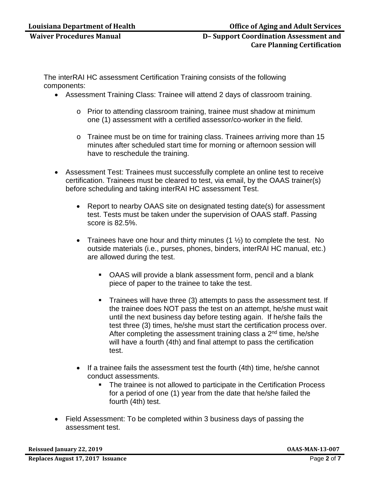The interRAI HC assessment Certification Training consists of the following components:

- Assessment Training Class: Trainee will attend 2 days of classroom training.
	- o Prior to attending classroom training, trainee must shadow at minimum one (1) assessment with a certified assessor/co-worker in the field.
	- o Trainee must be on time for training class. Trainees arriving more than 15 minutes after scheduled start time for morning or afternoon session will have to reschedule the training.
- Assessment Test: Trainees must successfully complete an online test to receive certification. Trainees must be cleared to test, via email, by the OAAS trainer(s) before scheduling and taking interRAI HC assessment Test.
	- Report to nearby OAAS site on designated testing date(s) for assessment test. Tests must be taken under the supervision of OAAS staff. Passing score is 82.5%.
	- Trainees have one hour and thirty minutes  $(1 \frac{1}{2})$  to complete the test. No outside materials (i.e., purses, phones, binders, interRAI HC manual, etc.) are allowed during the test.
		- OAAS will provide a blank assessment form, pencil and a blank piece of paper to the trainee to take the test.
		- **Trainees will have three (3) attempts to pass the assessment test. If** the trainee does NOT pass the test on an attempt, he/she must wait until the next business day before testing again. If he/she fails the test three (3) times, he/she must start the certification process over. After completing the assessment training class a  $2<sup>nd</sup>$  time, he/she will have a fourth (4th) and final attempt to pass the certification test.
	- If a trainee fails the assessment test the fourth (4th) time, he/she cannot conduct assessments.
		- The trainee is not allowed to participate in the Certification Process for a period of one (1) year from the date that he/she failed the fourth (4th) test.
- Field Assessment: To be completed within 3 business days of passing the assessment test.

**Reissued January 22, 2019 OAAS-MAN-13-007**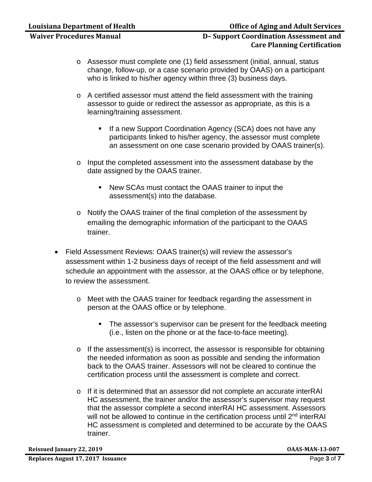- o Assessor must complete one (1) field assessment (initial, annual, status change, follow-up, or a case scenario provided by OAAS) on a participant who is linked to his/her agency within three (3) business days.
- o A certified assessor must attend the field assessment with the training assessor to guide or redirect the assessor as appropriate, as this is a learning/training assessment.
	- If a new Support Coordination Agency (SCA) does not have any participants linked to his/her agency, the assessor must complete an assessment on one case scenario provided by OAAS trainer(s).
- o Input the completed assessment into the assessment database by the date assigned by the OAAS trainer.
	- New SCAs must contact the OAAS trainer to input the assessment(s) into the database.
- o Notify the OAAS trainer of the final completion of the assessment by emailing the demographic information of the participant to the OAAS trainer.
- Field Assessment Reviews: OAAS trainer(s) will review the assessor's assessment within 1-2 business days of receipt of the field assessment and will schedule an appointment with the assessor, at the OAAS office or by telephone, to review the assessment.
	- o Meet with the OAAS trainer for feedback regarding the assessment in person at the OAAS office or by telephone.
		- **The assessor's supervisor can be present for the feedback meeting** (i.e., listen on the phone or at the face-to-face meeting).
	- o If the assessment(s) is incorrect, the assessor is responsible for obtaining the needed information as soon as possible and sending the information back to the OAAS trainer. Assessors will not be cleared to continue the certification process until the assessment is complete and correct.
	- o If it is determined that an assessor did not complete an accurate interRAI HC assessment, the trainer and/or the assessor's supervisor may request that the assessor complete a second interRAI HC assessment. Assessors will not be allowed to continue in the certification process until 2<sup>nd</sup> interRAI HC assessment is completed and determined to be accurate by the OAAS trainer.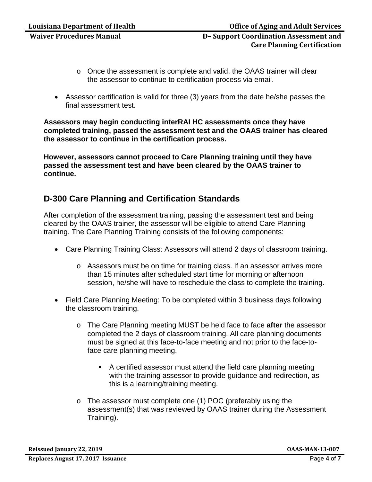- o Once the assessment is complete and valid, the OAAS trainer will clear the assessor to continue to certification process via email.
- Assessor certification is valid for three (3) years from the date he/she passes the final assessment test.

**Assessors may begin conducting interRAI HC assessments once they have completed training, passed the assessment test and the OAAS trainer has cleared the assessor to continue in the certification process.** 

**However, assessors cannot proceed to Care Planning training until they have passed the assessment test and have been cleared by the OAAS trainer to continue.** 

## **D-300 Care Planning and Certification Standards**

After completion of the assessment training, passing the assessment test and being cleared by the OAAS trainer, the assessor will be eligible to attend Care Planning training. The Care Planning Training consists of the following components:

- Care Planning Training Class: Assessors will attend 2 days of classroom training.
	- o Assessors must be on time for training class. If an assessor arrives more than 15 minutes after scheduled start time for morning or afternoon session, he/she will have to reschedule the class to complete the training.
- Field Care Planning Meeting: To be completed within 3 business days following the classroom training.
	- o The Care Planning meeting MUST be held face to face **after** the assessor completed the 2 days of classroom training. All care planning documents must be signed at this face-to-face meeting and not prior to the face-toface care planning meeting.
		- A certified assessor must attend the field care planning meeting with the training assessor to provide guidance and redirection, as this is a learning/training meeting.
	- o The assessor must complete one (1) POC (preferably using the assessment(s) that was reviewed by OAAS trainer during the Assessment Training).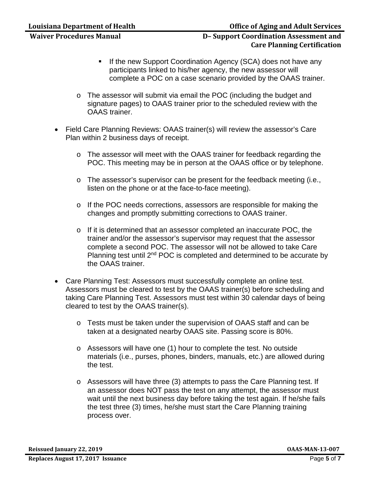- **If the new Support Coordination Agency (SCA) does not have any** participants linked to his/her agency, the new assessor will complete a POC on a case scenario provided by the OAAS trainer.
- o The assessor will submit via email the POC (including the budget and signature pages) to OAAS trainer prior to the scheduled review with the OAAS trainer.
- Field Care Planning Reviews: OAAS trainer(s) will review the assessor's Care Plan within 2 business days of receipt.
	- o The assessor will meet with the OAAS trainer for feedback regarding the POC. This meeting may be in person at the OAAS office or by telephone.
	- o The assessor's supervisor can be present for the feedback meeting (i.e., listen on the phone or at the face-to-face meeting).
	- o If the POC needs corrections, assessors are responsible for making the changes and promptly submitting corrections to OAAS trainer.
	- o If it is determined that an assessor completed an inaccurate POC, the trainer and/or the assessor's supervisor may request that the assessor complete a second POC. The assessor will not be allowed to take Care Planning test until 2<sup>nd</sup> POC is completed and determined to be accurate by the OAAS trainer.
- Care Planning Test: Assessors must successfully complete an online test. Assessors must be cleared to test by the OAAS trainer(s) before scheduling and taking Care Planning Test. Assessors must test within 30 calendar days of being cleared to test by the OAAS trainer(s).
	- o Tests must be taken under the supervision of OAAS staff and can be taken at a designated nearby OAAS site. Passing score is 80%.
	- o Assessors will have one (1) hour to complete the test. No outside materials (i.e., purses, phones, binders, manuals, etc.) are allowed during the test.
	- o Assessors will have three (3) attempts to pass the Care Planning test. If an assessor does NOT pass the test on any attempt, the assessor must wait until the next business day before taking the test again. If he/she fails the test three (3) times, he/she must start the Care Planning training process over.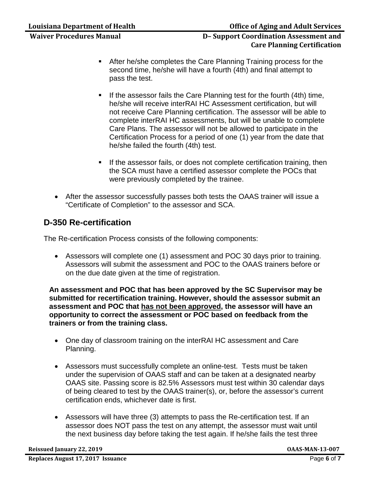- After he/she completes the Care Planning Training process for the second time, he/she will have a fourth (4th) and final attempt to pass the test.
- If the assessor fails the Care Planning test for the fourth (4th) time, he/she will receive interRAI HC Assessment certification, but will not receive Care Planning certification. The assessor will be able to complete interRAI HC assessments, but will be unable to complete Care Plans. The assessor will not be allowed to participate in the Certification Process for a period of one (1) year from the date that he/she failed the fourth (4th) test.
- If the assessor fails, or does not complete certification training, then the SCA must have a certified assessor complete the POCs that were previously completed by the trainee.
- After the assessor successfully passes both tests the OAAS trainer will issue a "Certificate of Completion" to the assessor and SCA.

## **D-350 Re-certification**

The Re-certification Process consists of the following components:

• Assessors will complete one (1) assessment and POC 30 days prior to training. Assessors will submit the assessment and POC to the OAAS trainers before or on the due date given at the time of registration.

**An assessment and POC that has been approved by the SC Supervisor may be submitted for recertification training. However, should the assessor submit an assessment and POC that has not been approved, the assessor will have an opportunity to correct the assessment or POC based on feedback from the trainers or from the training class.** 

- One day of classroom training on the interRAI HC assessment and Care Planning.
- Assessors must successfully complete an online-test. Tests must be taken under the supervision of OAAS staff and can be taken at a designated nearby OAAS site. Passing score is 82.5% Assessors must test within 30 calendar days of being cleared to test by the OAAS trainer(s), or, before the assessor's current certification ends, whichever date is first.
- Assessors will have three (3) attempts to pass the Re-certification test. If an assessor does NOT pass the test on any attempt, the assessor must wait until the next business day before taking the test again. If he/she fails the test three